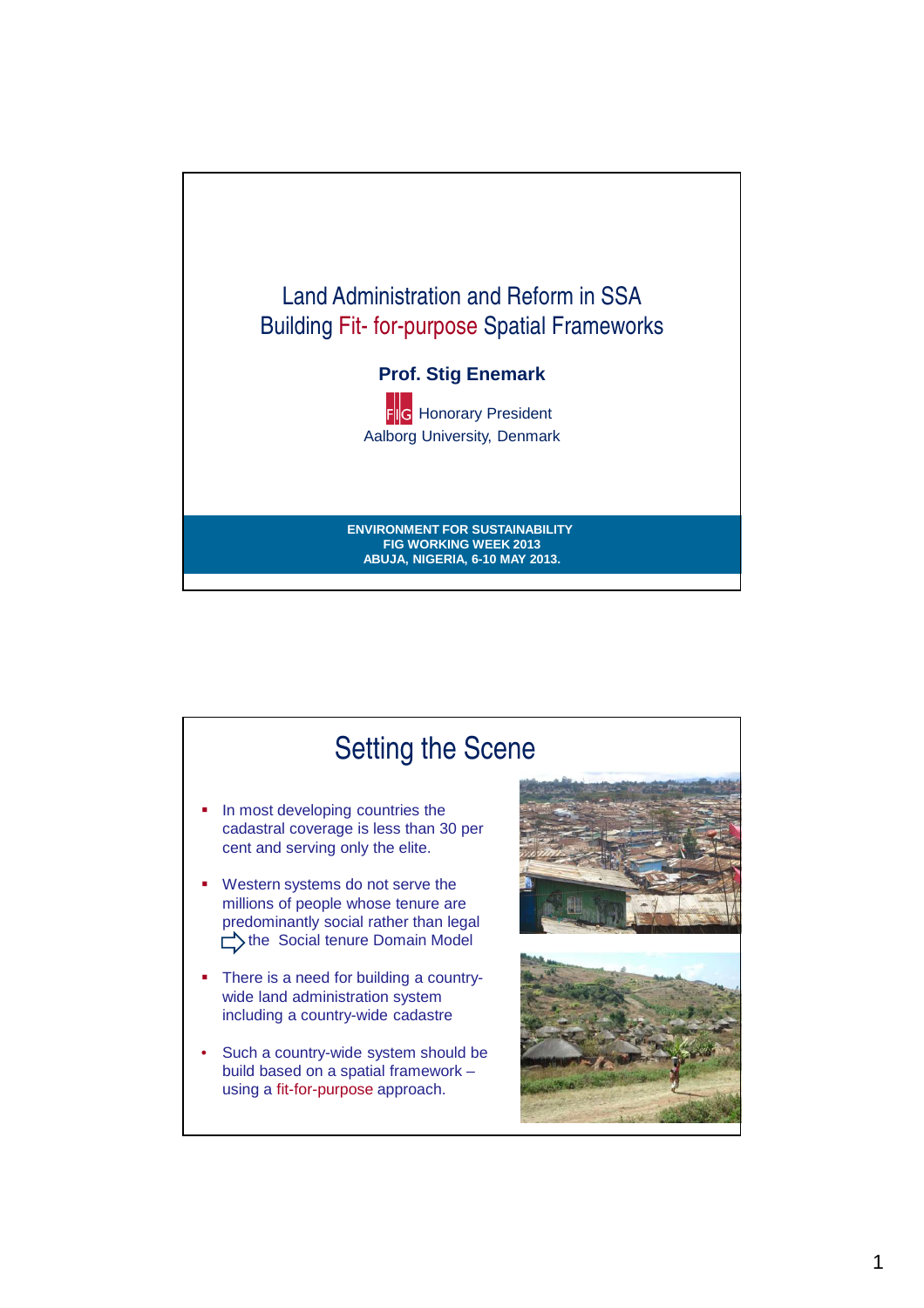

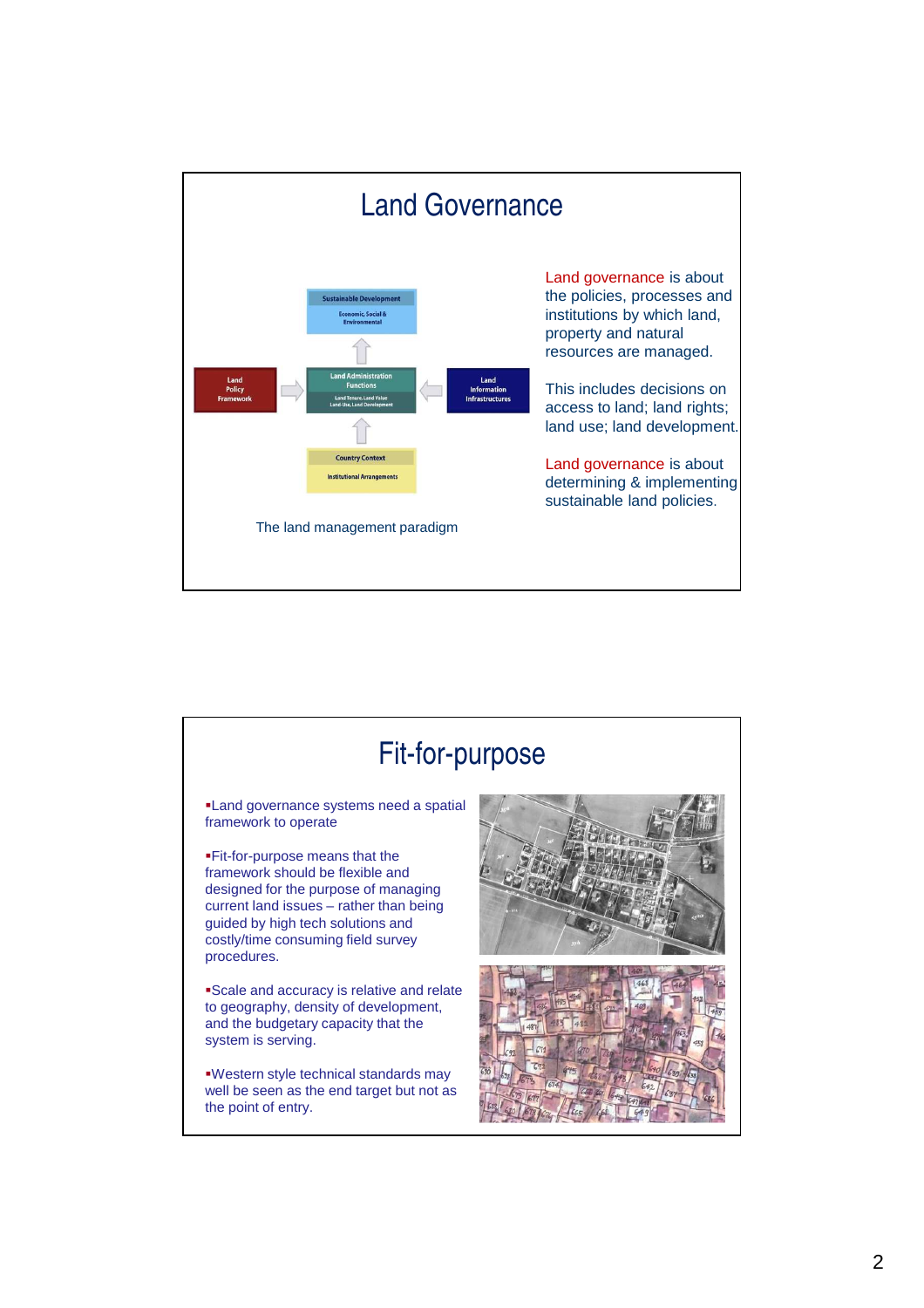

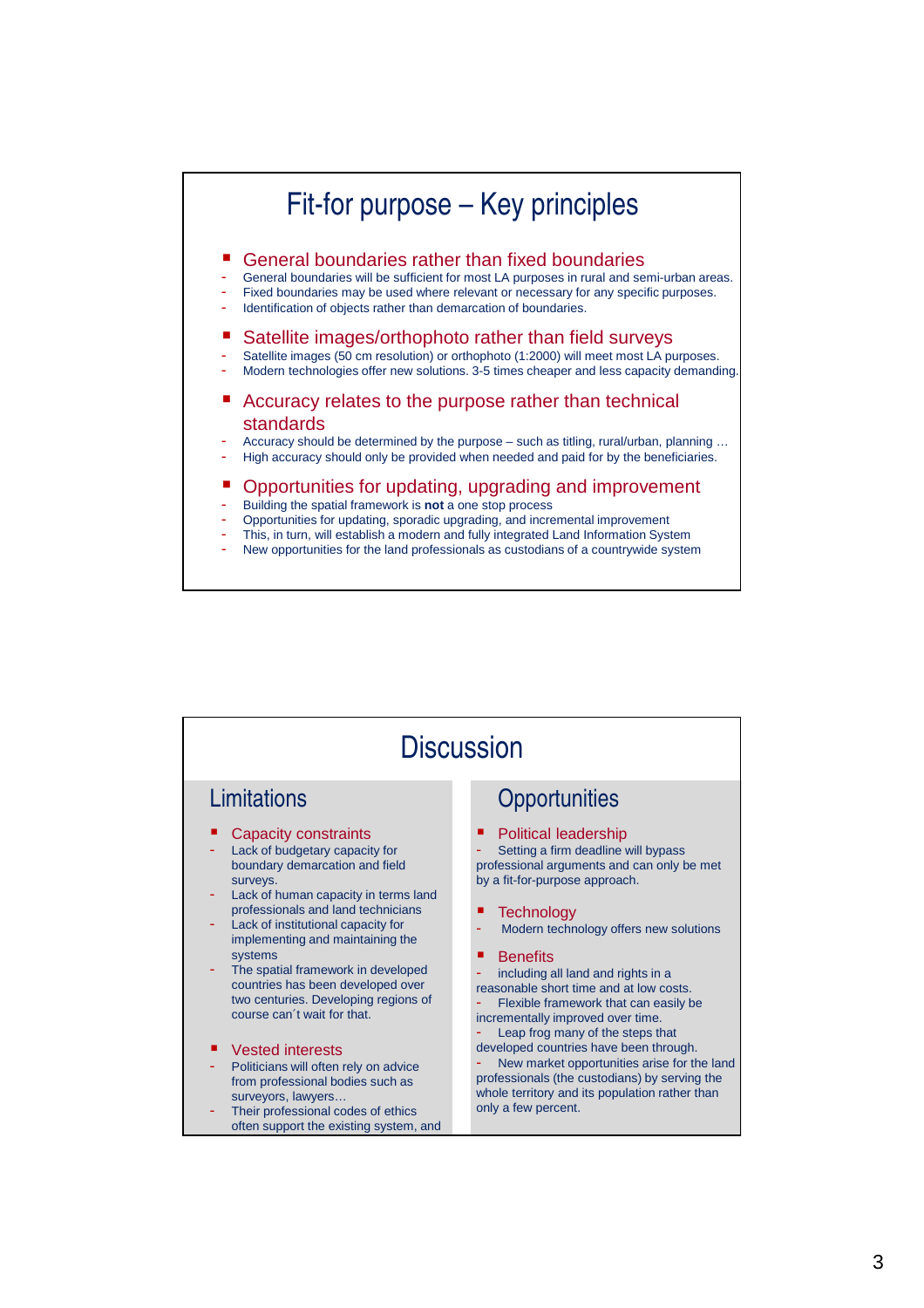

New opportunities for the land professionals as custodians of a countrywide system

| <b>Discussion</b>                                                                                                                                                                                                                                                                                                                                                                                                                                                                                                                                                                                                                            |                                                                                                                                                                                                                                                                                                                                                                                                                                                                                                                                                                                                                                                                 |
|----------------------------------------------------------------------------------------------------------------------------------------------------------------------------------------------------------------------------------------------------------------------------------------------------------------------------------------------------------------------------------------------------------------------------------------------------------------------------------------------------------------------------------------------------------------------------------------------------------------------------------------------|-----------------------------------------------------------------------------------------------------------------------------------------------------------------------------------------------------------------------------------------------------------------------------------------------------------------------------------------------------------------------------------------------------------------------------------------------------------------------------------------------------------------------------------------------------------------------------------------------------------------------------------------------------------------|
| Limitations                                                                                                                                                                                                                                                                                                                                                                                                                                                                                                                                                                                                                                  | Opportunities                                                                                                                                                                                                                                                                                                                                                                                                                                                                                                                                                                                                                                                   |
| Capacity constraints<br>Lack of budgetary capacity for<br>boundary demarcation and field<br>surveys.<br>Lack of human capacity in terms land<br>professionals and land technicians<br>Lack of institutional capacity for<br>implementing and maintaining the<br>systems<br>The spatial framework in developed<br>countries has been developed over<br>two centuries. Developing regions of<br>course can't wait for that.<br><b>Vested interests</b><br>Politicians will often rely on advice<br>٠<br>from professional bodies such as<br>surveyors, lawyers<br>Their professional codes of ethics<br>often support the existing system, and | <b>Political leadership</b><br>Setting a firm deadline will bypass<br>professional arguments and can only be met<br>by a fit-for-purpose approach.<br><b>Technology</b><br>Modern technology offers new solutions<br><b>Benefits</b><br>■<br>including all land and rights in a<br>reasonable short time and at low costs.<br>Flexible framework that can easily be<br>incrementally improved over time.<br>Leap frog many of the steps that<br>developed countries have been through.<br>New market opportunities arise for the land<br>professionals (the custodians) by serving the<br>whole territory and its population rather than<br>only a few percent. |